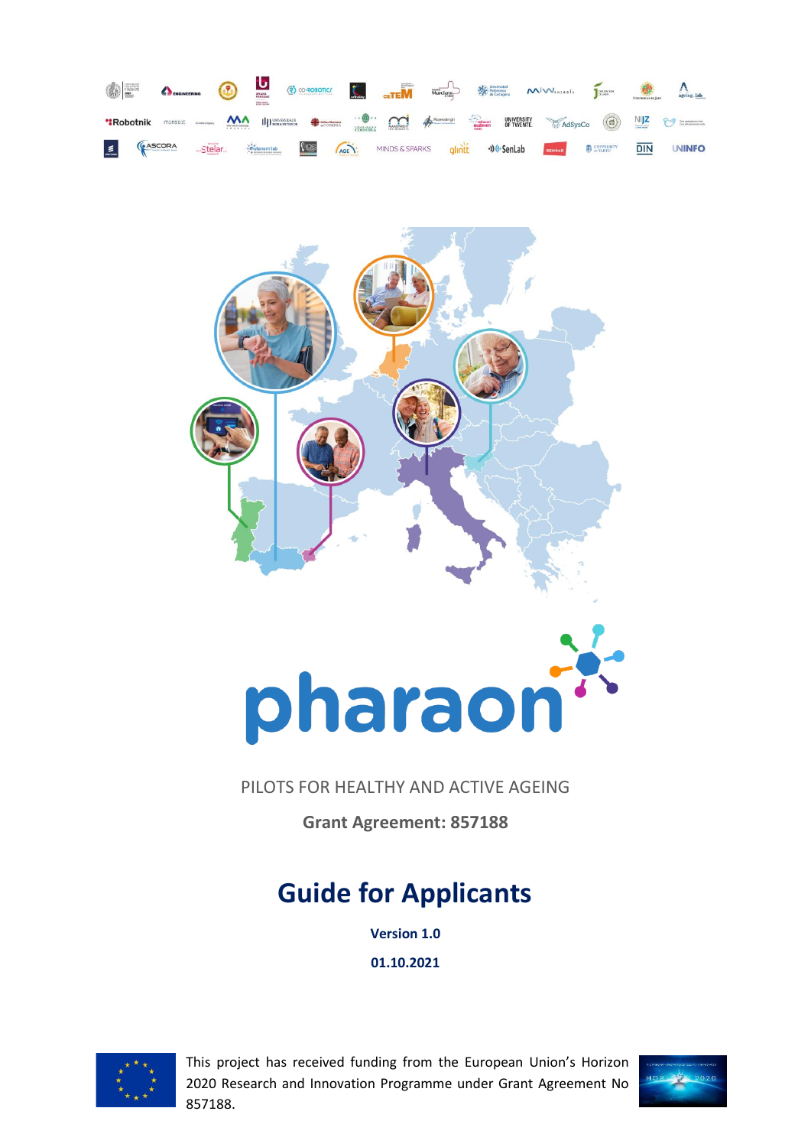



# pharaon

## PILOTS FOR HEALTHY AND ACTIVE AGEING

**Grant Agreement: 857188**

# **Guide for Applicants**

**Version 1.0**

**01.10.2021**



This project has received funding from the European Union's Horizon 2020 Research and Innovation Programme under Grant Agreement No 857188.

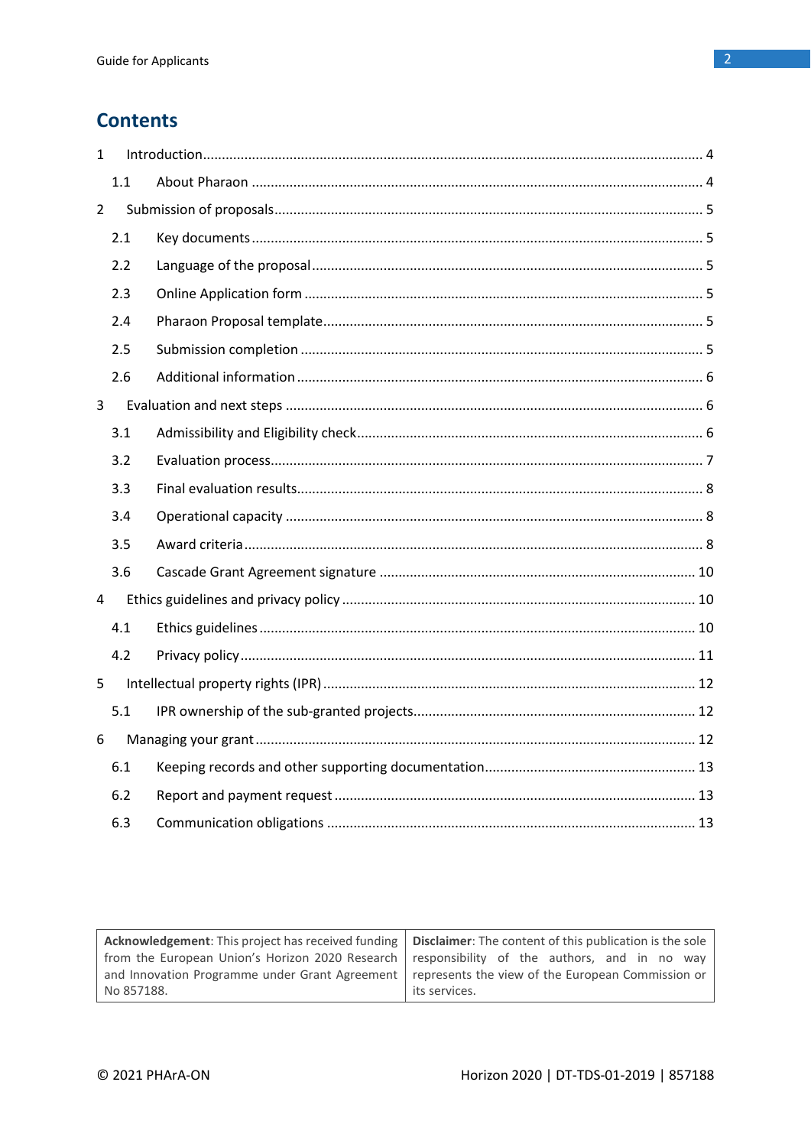# **Contents**

| $\mathbf{1}$   |     |  |
|----------------|-----|--|
|                | 1.1 |  |
| $\overline{2}$ |     |  |
|                | 2.1 |  |
|                | 2.2 |  |
|                | 2.3 |  |
|                | 2.4 |  |
|                | 2.5 |  |
|                | 2.6 |  |
| 3              |     |  |
|                | 3.1 |  |
|                | 3.2 |  |
|                | 3.3 |  |
|                | 3.4 |  |
|                | 3.5 |  |
|                | 3.6 |  |
| $\overline{4}$ |     |  |
|                | 4.1 |  |
|                | 4.2 |  |
| 5              |     |  |
|                | 5.1 |  |
| 6              |     |  |
|                | 6.1 |  |
|                | 6.2 |  |
|                | 6.3 |  |

| Acknowledgement: This project has received funding   Disclaimer: The content of this publication is the sole |                 |  |  |  |
|--------------------------------------------------------------------------------------------------------------|-----------------|--|--|--|
| from the European Union's Horizon 2020 Research responsibility of the authors, and in no way                 |                 |  |  |  |
| and Innovation Programme under Grant Agreement   represents the view of the European Commission or           |                 |  |  |  |
| No 857188.                                                                                                   | l its services. |  |  |  |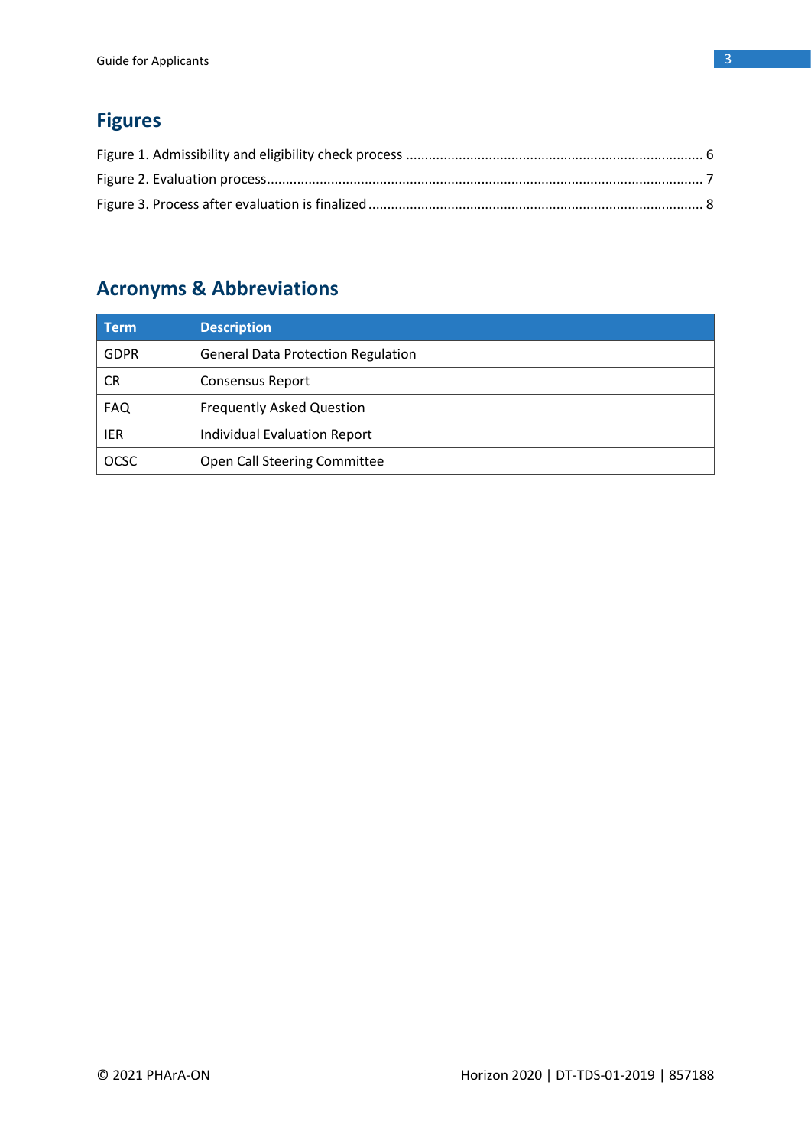# **Figures**

# **Acronyms & Abbreviations**

| Term        | <b>Description</b>                        |
|-------------|-------------------------------------------|
| <b>GDPR</b> | <b>General Data Protection Regulation</b> |
| <b>CR</b>   | <b>Consensus Report</b>                   |
| <b>FAQ</b>  | <b>Frequently Asked Question</b>          |
| IER         | <b>Individual Evaluation Report</b>       |
| <b>OCSC</b> | Open Call Steering Committee              |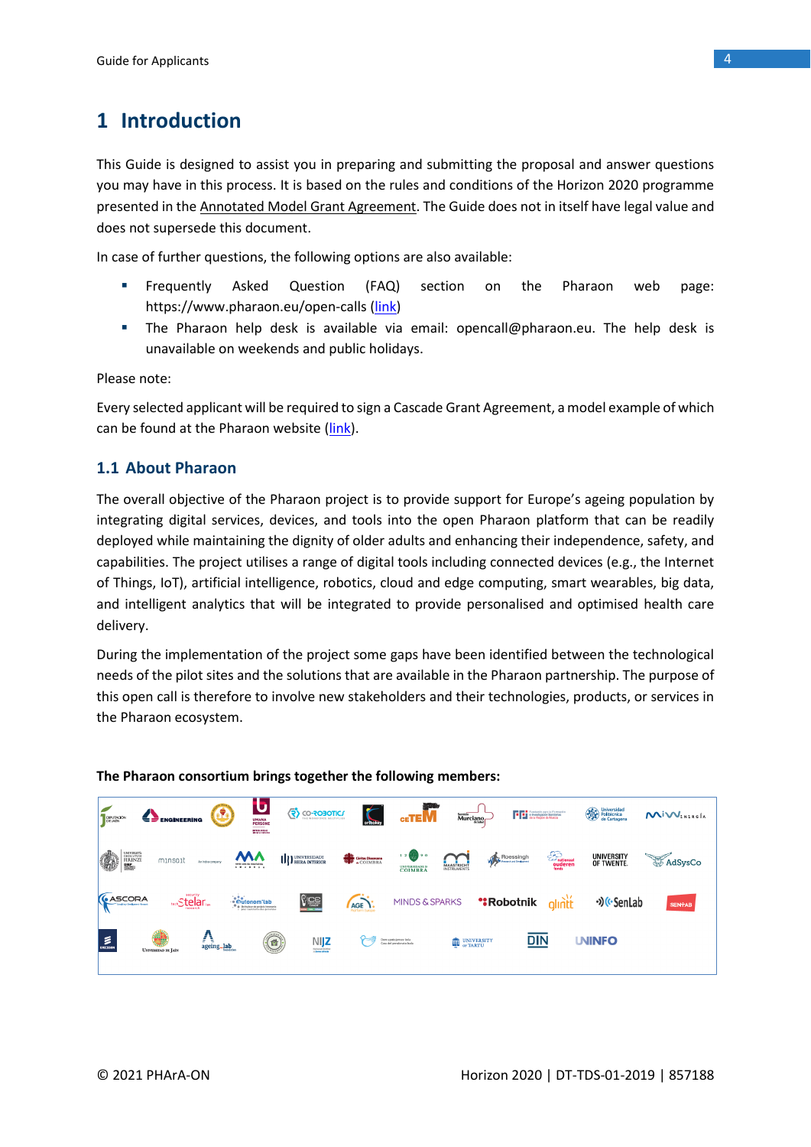# **1 Introduction**

This Guide is designed to assist you in preparing and submitting the proposal and answer questions you may have in this process. It is based on the rules and conditions of the Horizon 2020 programme presented in th[e Annotated Model Grant Agreement.](https://ec.europa.eu/research/participants/data/ref/h2020/grants_manual/amga/h2020-amga_en.pdf) The Guide does not in itself have legal value and does not supersede this document.

In case of further questions, the following options are also available:

- Frequently Asked Question (FAQ) section on the Pharaon web page: https://www.pharaon.eu/open-calls [\(link\)](https://www.pharaon.eu/open-calls/)
- The Pharaon help desk is available via email: [opencall@pharaon.eu.](mailto:opencall@pharaon.eu) The help desk is unavailable on weekends and public holidays.

Please note:

Every selected applicant will be required to sign a Cascade Grant Agreement, a model example of which can be found at the Pharaon website [\(link\)](https://www.pharaon.eu/wp-content/uploads/sites/36/2021/10/Pharaon_Cascade_Grant_Agreement_draft.pdf).

### **1.1 About Pharaon**

The overall objective of the Pharaon project is to provide support for Europe's ageing population by integrating digital services, devices, and tools into the open Pharaon platform that can be readily deployed while maintaining the dignity of older adults and enhancing their independence, safety, and capabilities. The project utilises a range of digital tools including connected devices (e.g., the Internet of Things, IoT), artificial intelligence, robotics, cloud and edge computing, smart wearables, big data, and intelligent analytics that will be integrated to provide personalised and optimised health care delivery.

During the implementation of the project some gaps have been identified between the technological needs of the pilot sites and the solutions that are available in the Pharaon partnership. The purpose of this open call is therefore to involve new stakeholders and their technologies, products, or services in the Pharaon ecosystem.



### **The Pharaon consortium brings together the following members:**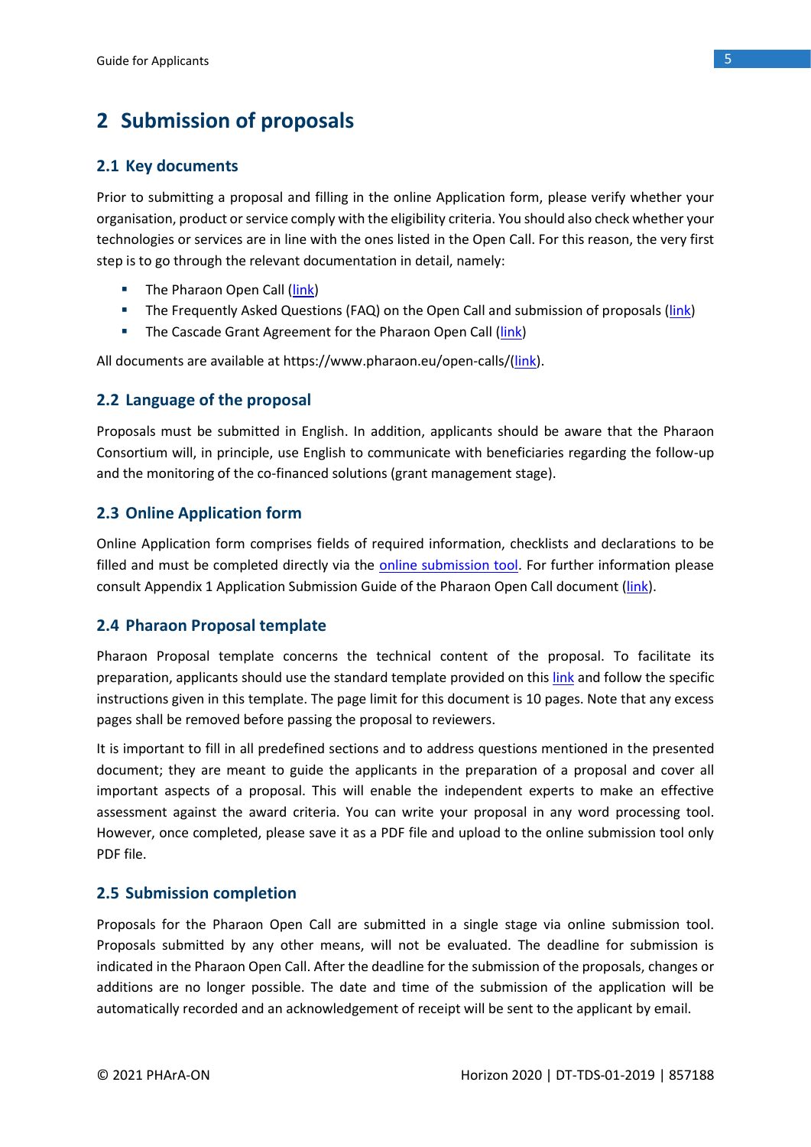# **2 Submission of proposals**

### **2.1 Key documents**

Prior to submitting a proposal and filling in the online Application form, please verify whether your organisation, product or service comply with the eligibility criteria. You should also check whether your technologies or services are in line with the ones listed in the Open Call. For this reason, the very first step is to go through the relevant documentation in detail, namely:

- **■** The Pharaon Open Call [\(link\)](https://www.pharaon.eu/wp-content/uploads/sites/36/2021/10/PharaonOpenCallText.pdf)
- **E** The Frequently Asked Questions (FAQ) on the Open Call and submission of proposals [\(link\)](https://www.pharaon.eu/open-calls/)
- **E** The Cascade Grant Agreement for the Pharaon Open Call [\(link\)](https://www.pharaon.eu/wp-content/uploads/sites/36/2021/10/Pharaon_Cascade_Grant_Agreement_draft.pdf)

All documents are available at https://www.pharaon.eu/open-calls/[\(link\)](https://www.pharaon.eu/open-calls/).

### **2.2 Language of the proposal**

Proposals must be submitted in English. In addition, applicants should be aware that the Pharaon Consortium will, in principle, use English to communicate with beneficiaries regarding the follow-up and the monitoring of the co-financed solutions (grant management stage).

### **2.3 Online Application form**

Online Application form comprises fields of required information, checklists and declarations to be filled and must be completed directly via the [online submission tool.](https://pro.evalato.com/3679) For further information please consult Appendix 1 Application Submission Guide of the Pharaon Open Call document [\(link\)](https://www.pharaon.eu/wp-content/uploads/sites/36/2021/10/PharaonOpenCallText.pdf).

### **2.4 Pharaon Proposal template**

Pharaon Proposal template concerns the technical content of the proposal. To facilitate its preparation, applicants should use the standard template provided on this [link](https://www.pharaon.eu/wp-content/uploads/sites/36/2021/10/Pharaon-Proposal-Template.docx) and follow the specific instructions given in this template. The page limit for this document is 10 pages. Note that any excess pages shall be removed before passing the proposal to reviewers.

It is important to fill in all predefined sections and to address questions mentioned in the presented document; they are meant to guide the applicants in the preparation of a proposal and cover all important aspects of a proposal. This will enable the independent experts to make an effective assessment against the award criteria. You can write your proposal in any word processing tool. However, once completed, please save it as a PDF file and upload to the online submission tool only PDF file.

### **2.5 Submission completion**

Proposals for the Pharaon Open Call are submitted in a single stage via online submission tool. Proposals submitted by any other means, will not be evaluated. The deadline for submission is indicated in the Pharaon Open Call. After the deadline for the submission of the proposals, changes or additions are no longer possible. The date and time of the submission of the application will be automatically recorded and an acknowledgement of receipt will be sent to the applicant by email.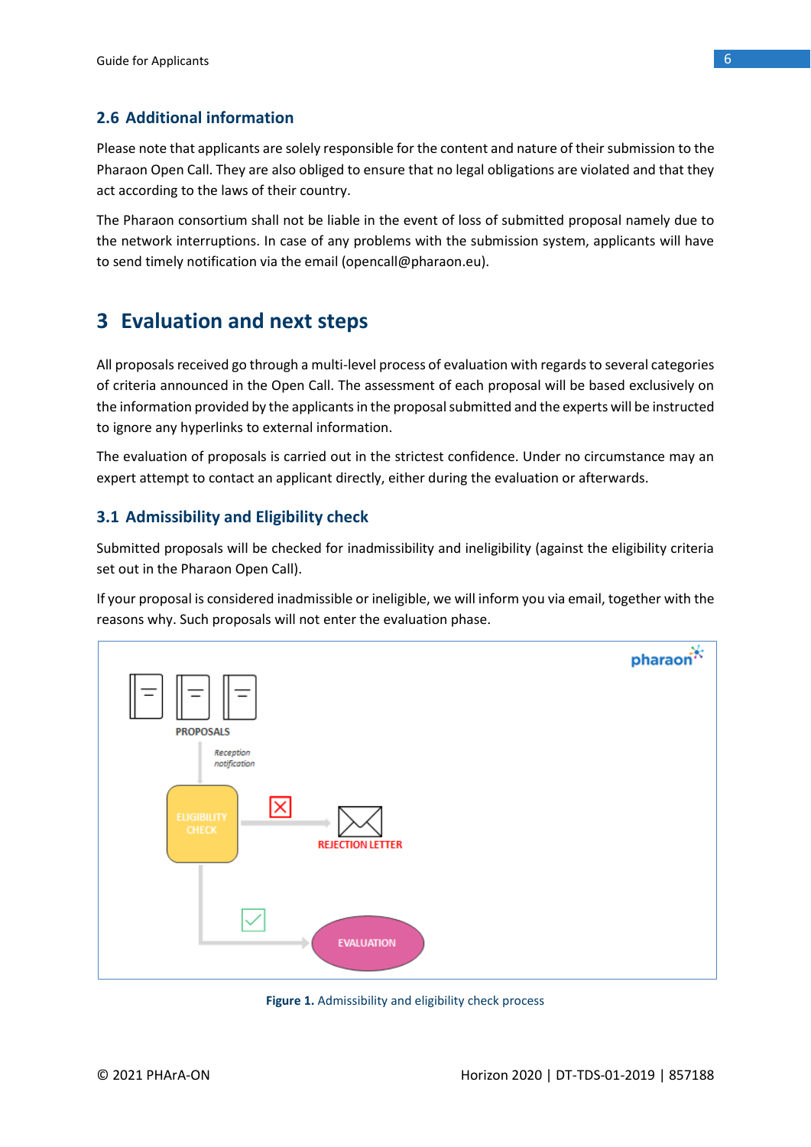### **2.6 Additional information**

Please note that applicants are solely responsible for the content and nature of their submission to the Pharaon Open Call. They are also obliged to ensure that no legal obligations are violated and that they act according to the laws of their country.

The Pharaon consortium shall not be liable in the event of loss of submitted proposal namely due to the network interruptions. In case of any problems with the submission system, applicants will have to send timely notification via the email (opencall@pharaon.eu).

# **3 Evaluation and next steps**

All proposals received go through a multi-level process of evaluation with regards to several categories of criteria announced in the Open Call. The assessment of each proposal will be based exclusively on the information provided by the applicants in the proposal submitted and the experts will be instructed to ignore any hyperlinks to external information.

The evaluation of proposals is carried out in the strictest confidence. Under no circumstance may an expert attempt to contact an applicant directly, either during the evaluation or afterwards.

### **3.1 Admissibility and Eligibility check**

Submitted proposals will be checked for inadmissibility and ineligibility (against the eligibility criteria set out in the Pharaon Open Call).

If your proposal is considered inadmissible or ineligible, we will inform you via email, together with the reasons why. Such proposals will not enter the evaluation phase.



**Figure 1.** Admissibility and eligibility check process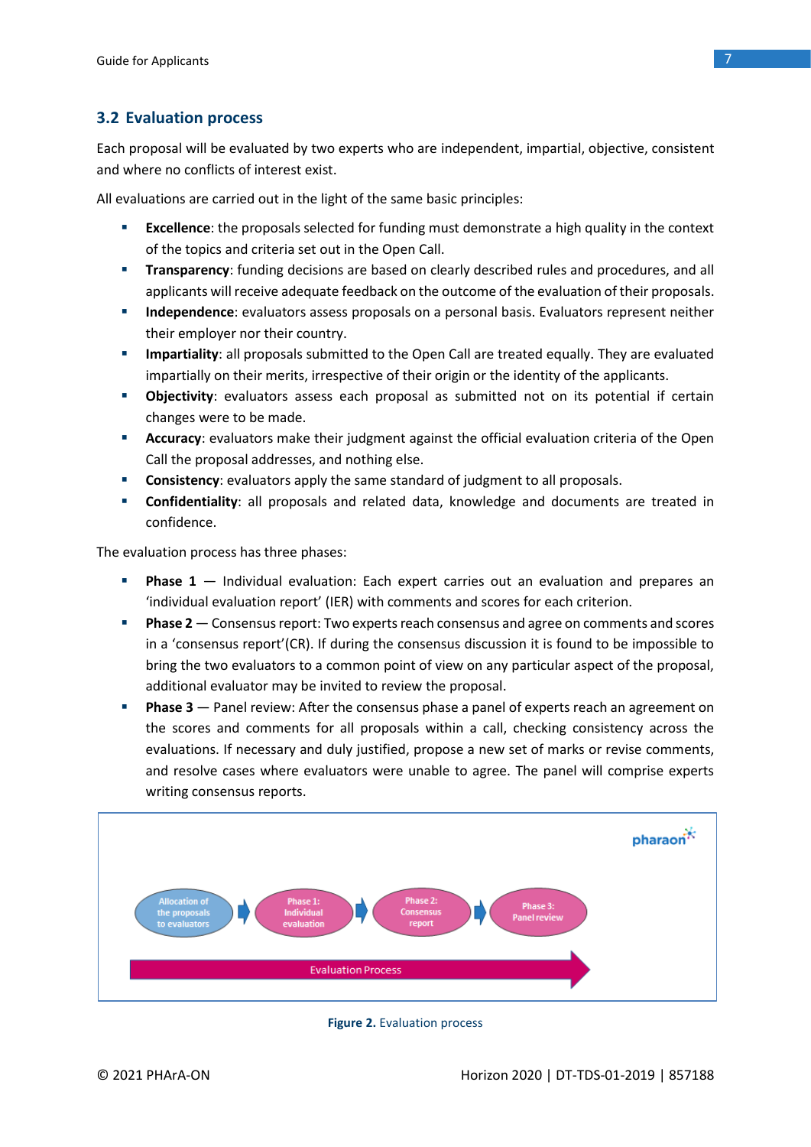### **3.2 Evaluation process**

Each proposal will be evaluated by two experts who are independent, impartial, objective, consistent and where no conflicts of interest exist.

All evaluations are carried out in the light of the same basic principles:

- **Excellence**: the proposals selected for funding must demonstrate a high quality in the context of the topics and criteria set out in the Open Call.
- **Transparency**: funding decisions are based on clearly described rules and procedures, and all applicants will receive adequate feedback on the outcome of the evaluation of their proposals.
- **· Independence**: evaluators assess proposals on a personal basis. Evaluators represent neither their employer nor their country.
- **EXECT** Impartiality: all proposals submitted to the Open Call are treated equally. They are evaluated impartially on their merits, irrespective of their origin or the identity of the applicants.
- **Objectivity**: evaluators assess each proposal as submitted not on its potential if certain changes were to be made.
- **E** Accuracy: evaluators make their judgment against the official evaluation criteria of the Open Call the proposal addresses, and nothing else.
- **Consistency**: evaluators apply the same standard of judgment to all proposals.
- **EXECONFIDENTIAL CONFIDENTIAL IS CONFIDENT** Confidentiality: all proposals and reading in Confidential in confidence.

The evaluation process has three phases:

- Phase 1 Individual evaluation: Each expert carries out an evaluation and prepares an 'individual evaluation report' (IER) with comments and scores for each criterion.
- **Phase 2** Consensus report: Two experts reach consensus and agree on comments and scores in a 'consensus report'(CR). If during the consensus discussion it is found to be impossible to bring the two evaluators to a common point of view on any particular aspect of the proposal, additional evaluator may be invited to review the proposal.
- **Phase 3** Panel review: After the consensus phase a panel of experts reach an agreement on the scores and comments for all proposals within a call, checking consistency across the evaluations. If necessary and duly justified, propose a new set of marks or revise comments, and resolve cases where evaluators were unable to agree. The panel will comprise experts writing consensus reports.



**Figure 2.** Evaluation process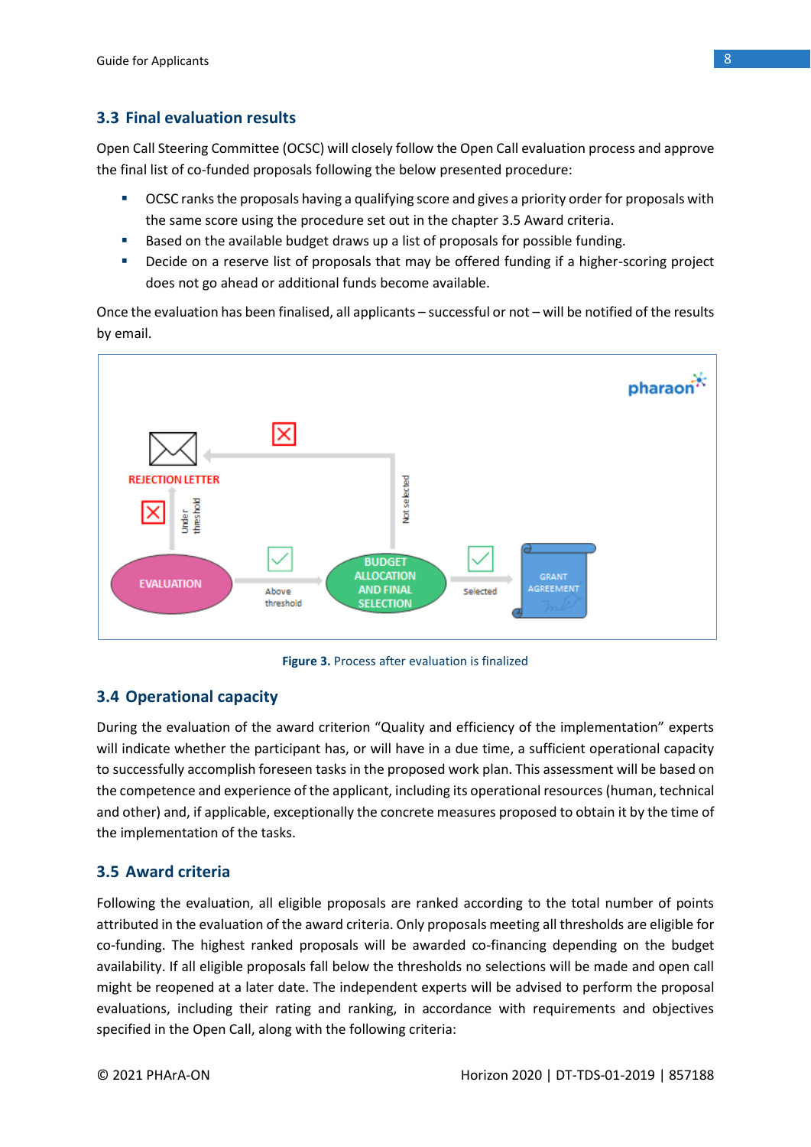### **3.3 Final evaluation results**

Open Call Steering Committee (OCSC) will closely follow the Open Call evaluation process and approve the final list of co-funded proposals following the below presented procedure:

- **OCSC ranks the proposals having a qualifying score and gives a priority order for proposals with** the same score using the procedure set out in the chapter 3.5 Award criteria.
- Based on the available budget draws up a list of proposals for possible funding.
- Decide on a reserve list of proposals that may be offered funding if a higher-scoring project does not go ahead or additional funds become available.

Once the evaluation has been finalised, all applicants – successful or not – will be notified of the results by email.



**Figure 3.** Process after evaluation is finalized

### **3.4 Operational capacity**

During the evaluation of the award criterion "Quality and efficiency of the implementation" experts will indicate whether the participant has, or will have in a due time, a sufficient operational capacity to successfully accomplish foreseen tasks in the proposed work plan. This assessment will be based on the competence and experience of the applicant, including its operational resources (human, technical and other) and, if applicable, exceptionally the concrete measures proposed to obtain it by the time of the implementation of the tasks.

### **3.5 Award criteria**

Following the evaluation, all eligible proposals are ranked according to the total number of points attributed in the evaluation of the award criteria. Only proposals meeting all thresholds are eligible for co-funding. The highest ranked proposals will be awarded co-financing depending on the budget availability. If all eligible proposals fall below the thresholds no selections will be made and open call might be reopened at a later date. The independent experts will be advised to perform the proposal evaluations, including their rating and ranking, in accordance with requirements and objectives specified in the Open Call, along with the following criteria: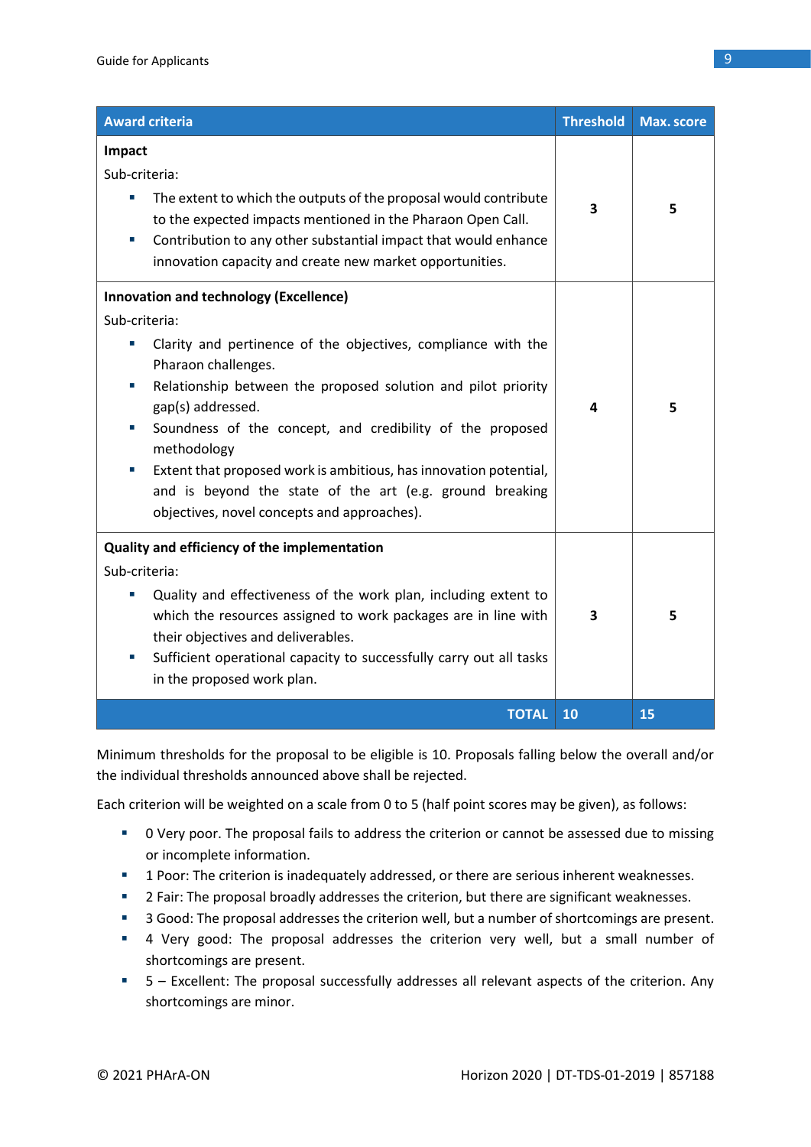| <b>Award criteria</b>                                                                                                                                                                                                                                                                                                                                                                                                                                                                                                           | <b>Threshold</b> | <b>Max. score</b> |
|---------------------------------------------------------------------------------------------------------------------------------------------------------------------------------------------------------------------------------------------------------------------------------------------------------------------------------------------------------------------------------------------------------------------------------------------------------------------------------------------------------------------------------|------------------|-------------------|
| Impact<br>Sub-criteria:<br>The extent to which the outputs of the proposal would contribute<br>×,<br>to the expected impacts mentioned in the Pharaon Open Call.<br>Contribution to any other substantial impact that would enhance<br>×.<br>innovation capacity and create new market opportunities.                                                                                                                                                                                                                           | 3                | 5                 |
| <b>Innovation and technology (Excellence)</b><br>Sub-criteria:<br>Clarity and pertinence of the objectives, compliance with the<br>×<br>Pharaon challenges.<br>Relationship between the proposed solution and pilot priority<br>×.<br>gap(s) addressed.<br>Soundness of the concept, and credibility of the proposed<br>×,<br>methodology<br>Extent that proposed work is ambitious, has innovation potential,<br>o.<br>and is beyond the state of the art (e.g. ground breaking<br>objectives, novel concepts and approaches). | 4                | 5                 |
| Quality and efficiency of the implementation<br>Sub-criteria:<br>Quality and effectiveness of the work plan, including extent to<br>×<br>which the resources assigned to work packages are in line with<br>their objectives and deliverables.<br>Sufficient operational capacity to successfully carry out all tasks<br>×,<br>in the proposed work plan.                                                                                                                                                                        |                  | 5                 |
| <b>TOTAL</b>                                                                                                                                                                                                                                                                                                                                                                                                                                                                                                                    | 10               | 15                |

Minimum thresholds for the proposal to be eligible is 10. Proposals falling below the overall and/or the individual thresholds announced above shall be rejected.

Each criterion will be weighted on a scale from 0 to 5 (half point scores may be given), as follows:

- 0 Very poor. The proposal fails to address the criterion or cannot be assessed due to missing or incomplete information.
- **EXECT** 1 Poor: The criterion is inadequately addressed, or there are serious inherent weaknesses.
- 2 Fair: The proposal broadly addresses the criterion, but there are significant weaknesses.
- 3 Good: The proposal addresses the criterion well, but a number of shortcomings are present.
- 4 Very good: The proposal addresses the criterion very well, but a small number of shortcomings are present.
- 5 Excellent: The proposal successfully addresses all relevant aspects of the criterion. Any shortcomings are minor.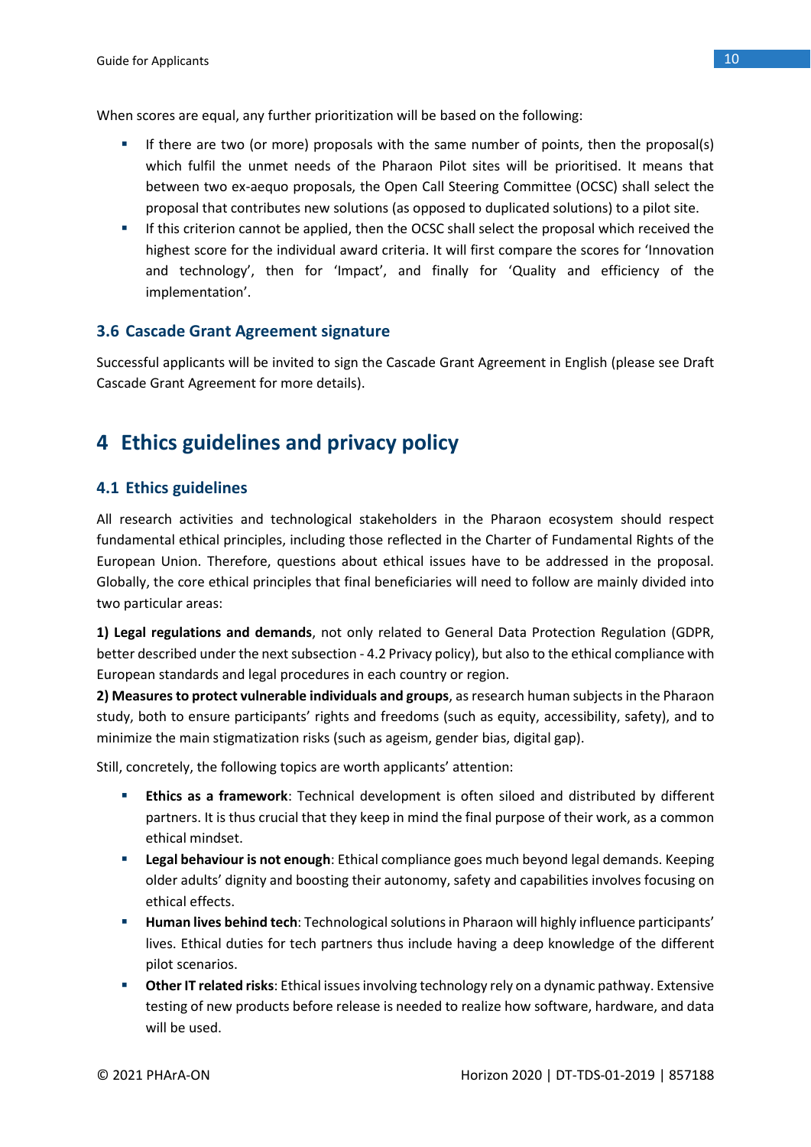When scores are equal, any further prioritization will be based on the following:

- If there are two (or more) proposals with the same number of points, then the proposal(s) which fulfil the unmet needs of the Pharaon Pilot sites will be prioritised. It means that between two ex-aequo proposals, the Open Call Steering Committee (OCSC) shall select the proposal that contributes new solutions (as opposed to duplicated solutions) to a pilot site.
- **■** If this criterion cannot be applied, then the OCSC shall select the proposal which received the highest score for the individual award criteria. It will first compare the scores for 'Innovation and technology', then for 'Impact', and finally for 'Quality and efficiency of the implementation'.

### **3.6 Cascade Grant Agreement signature**

Successful applicants will be invited to sign the Cascade Grant Agreement in English (please see Draft Cascade Grant Agreement for more details).

# **4 Ethics guidelines and privacy policy**

### **4.1 Ethics guidelines**

All research activities and technological stakeholders in the Pharaon ecosystem should respect fundamental ethical principles, including those reflected in the Charter of Fundamental Rights of the European Union. Therefore, questions about ethical issues have to be addressed in the proposal. Globally, the core ethical principles that final beneficiaries will need to follow are mainly divided into two particular areas:

**1) Legal regulations and demands**, not only related to General Data Protection Regulation (GDPR, better described under the next subsection - 4.2 Privacy policy), but also to the ethical compliance with European standards and legal procedures in each country or region.

**2) Measures to protect vulnerable individuals and groups**, as research human subjects in the Pharaon study, both to ensure participants' rights and freedoms (such as equity, accessibility, safety), and to minimize the main stigmatization risks (such as ageism, gender bias, digital gap).

Still, concretely, the following topics are worth applicants' attention:

- **Ethics as a framework**: Technical development is often siloed and distributed by different partners. It is thus crucial that they keep in mind the final purpose of their work, as a common ethical mindset.
- **Example 1 Legal behaviour is not enough**: Ethical compliance goes much beyond legal demands. Keeping older adults' dignity and boosting their autonomy, safety and capabilities involves focusing on ethical effects.
- **E** Human lives behind tech: Technological solutions in Pharaon will highly influence participants' lives. Ethical duties for tech partners thus include having a deep knowledge of the different pilot scenarios.
- **EXP** Other IT related risks: Ethical issues involving technology rely on a dynamic pathway. Extensive testing of new products before release is needed to realize how software, hardware, and data will be used.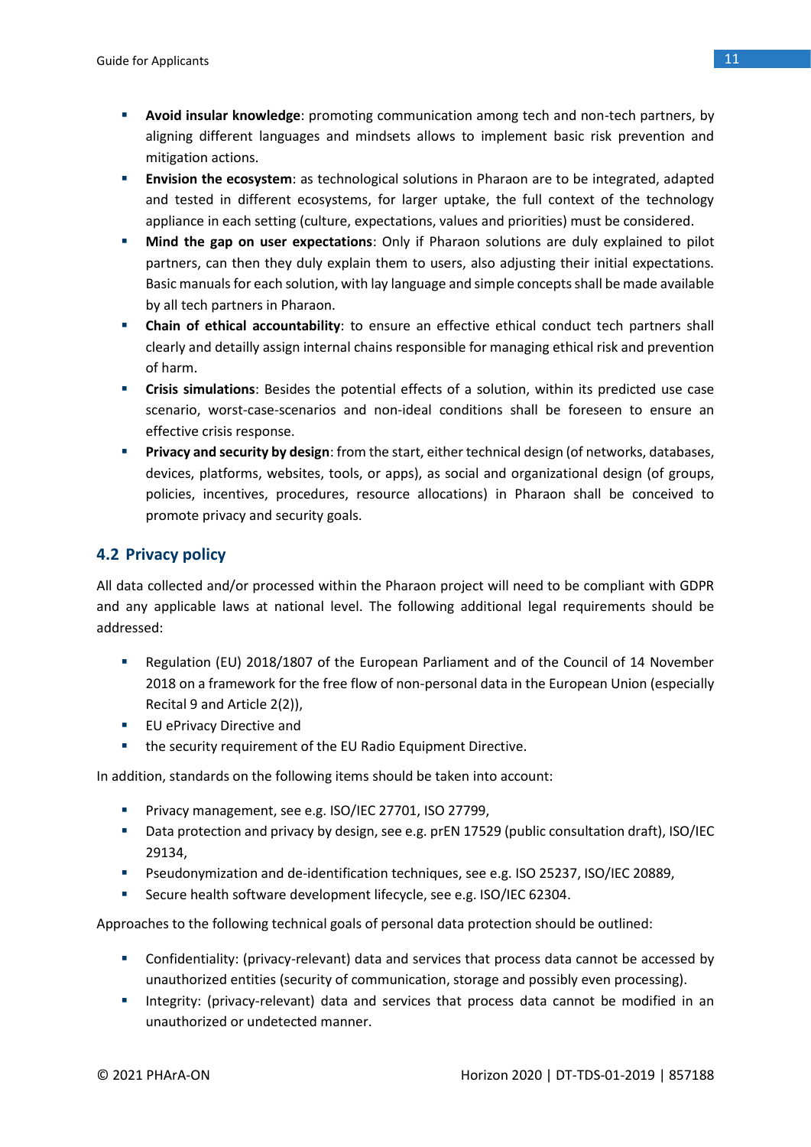- **Avoid insular knowledge**: promoting communication among tech and non-tech partners, by aligning different languages and mindsets allows to implement basic risk prevention and mitigation actions.
- **Envision the ecosystem**: as technological solutions in Pharaon are to be integrated, adapted and tested in different ecosystems, for larger uptake, the full context of the technology appliance in each setting (culture, expectations, values and priorities) must be considered.
- **Mind the gap on user expectations**: Only if Pharaon solutions are duly explained to pilot partners, can then they duly explain them to users, also adjusting their initial expectations. Basic manuals for each solution, with lay language and simple concepts shall be made available by all tech partners in Pharaon.
- **EXECT 2018 12 Chain of ethical accountability**: to ensure an effective ethical conduct tech partners shall clearly and detailly assign internal chains responsible for managing ethical risk and prevention of harm.
- **Example 1 Crisis simulations**: Besides the potential effects of a solution, within its predicted use case scenario, worst-case-scenarios and non-ideal conditions shall be foreseen to ensure an effective crisis response.
- **Privacy and security by design**: from the start, either technical design (of networks, databases, devices, platforms, websites, tools, or apps), as social and organizational design (of groups, policies, incentives, procedures, resource allocations) in Pharaon shall be conceived to promote privacy and security goals.

### **4.2 Privacy policy**

All data collected and/or processed within the Pharaon project will need to be compliant with GDPR and any applicable laws at national level. The following additional legal requirements should be addressed:

- Regulation (EU) 2018/1807 of the European Parliament and of the Council of 14 November 2018 on a framework for the free flow of non-personal data in the European Union (especially Recital 9 and Article 2(2)),
- EU ePrivacy Directive and
- the security requirement of the EU Radio Equipment Directive.

In addition, standards on the following items should be taken into account:

- Privacy management, see e.g. ISO/IEC 27701, ISO 27799,
- Data protection and privacy by design, see e.g. prEN 17529 (public consultation draft), ISO/IEC 29134,
- Pseudonymization and de-identification techniques, see e.g. ISO 25237, ISO/IEC 20889,
- Secure health software development lifecycle, see e.g. ISO/IEC 62304.

Approaches to the following technical goals of personal data protection should be outlined:

- Confidentiality: (privacy-relevant) data and services that process data cannot be accessed by unauthorized entities (security of communication, storage and possibly even processing).
- **■** Integrity: (privacy-relevant) data and services that process data cannot be modified in an unauthorized or undetected manner.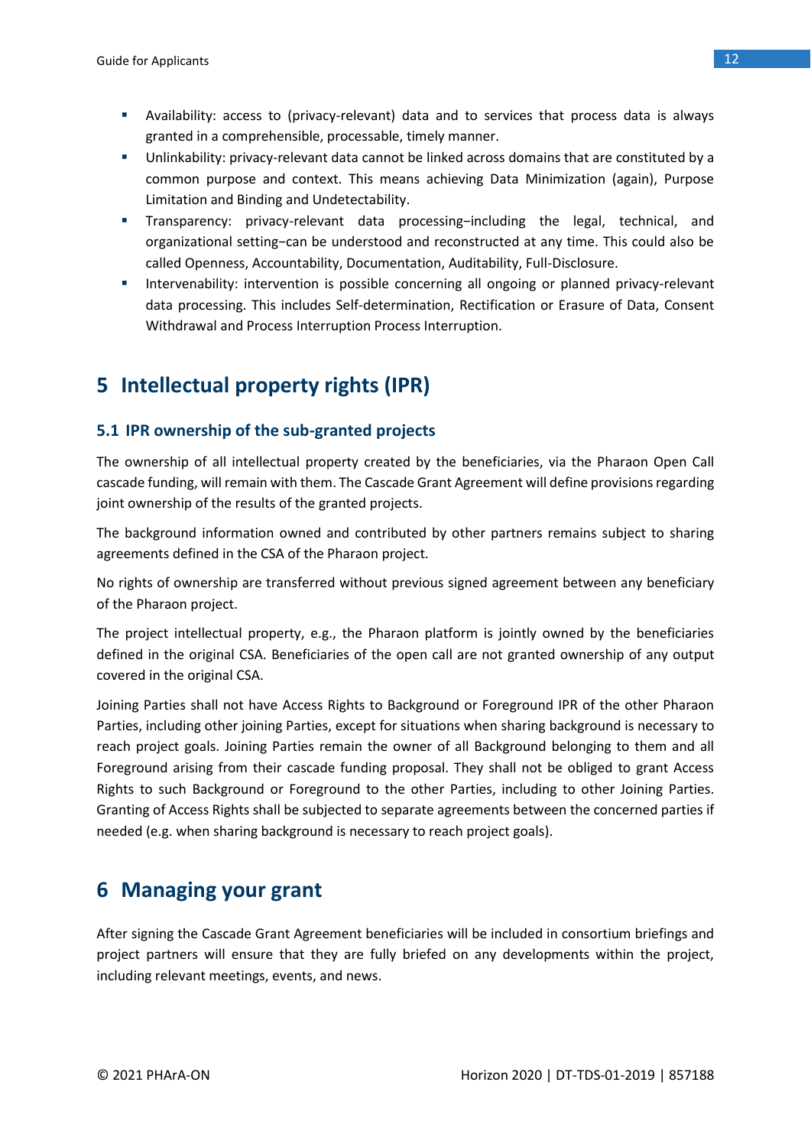- Availability: access to (privacy-relevant) data and to services that process data is always granted in a comprehensible, processable, timely manner.
- Unlinkability: privacy-relevant data cannot be linked across domains that are constituted by a common purpose and context. This means achieving Data Minimization (again), Purpose Limitation and Binding and Undetectability.
- Transparency: privacy-relevant data processing−including the legal, technical, and organizational setting−can be understood and reconstructed at any time. This could also be called Openness, Accountability, Documentation, Auditability, Full-Disclosure.
- **■** Intervenability: intervention is possible concerning all ongoing or planned privacy-relevant data processing. This includes Self-determination, Rectification or Erasure of Data, Consent Withdrawal and Process Interruption Process Interruption.

# **5 Intellectual property rights (IPR)**

### **5.1 IPR ownership of the sub-granted projects**

The ownership of all intellectual property created by the beneficiaries, via the Pharaon Open Call cascade funding, will remain with them. The Cascade Grant Agreement will define provisions regarding joint ownership of the results of the granted projects.

The background information owned and contributed by other partners remains subject to sharing agreements defined in the CSA of the Pharaon project.

No rights of ownership are transferred without previous signed agreement between any beneficiary of the Pharaon project.

The project intellectual property, e.g., the Pharaon platform is jointly owned by the beneficiaries defined in the original CSA. Beneficiaries of the open call are not granted ownership of any output covered in the original CSA.

Joining Parties shall not have Access Rights to Background or Foreground IPR of the other Pharaon Parties, including other joining Parties, except for situations when sharing background is necessary to reach project goals. Joining Parties remain the owner of all Background belonging to them and all Foreground arising from their cascade funding proposal. They shall not be obliged to grant Access Rights to such Background or Foreground to the other Parties, including to other Joining Parties. Granting of Access Rights shall be subjected to separate agreements between the concerned parties if needed (e.g. when sharing background is necessary to reach project goals).

# **6 Managing your grant**

After signing the Cascade Grant Agreement beneficiaries will be included in consortium briefings and project partners will ensure that they are fully briefed on any developments within the project, including relevant meetings, events, and news.